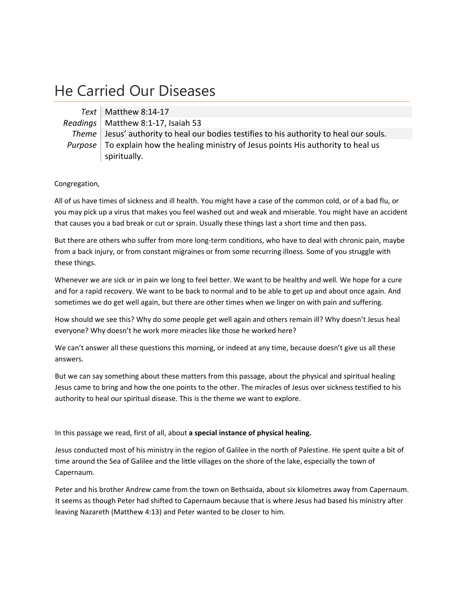## He Carried Our Diseases

*Text* Matthew 8:14‐17 *Readings* | Matthew 8:1-17, Isaiah 53 *Theme* Jesus' authority to heal our bodies testifies to his authority to heal our souls. *Purpose* To explain how the healing ministry of Jesus points His authority to heal us spiritually.

Congregation,

All of us have times of sickness and ill health. You might have a case of the common cold, or of a bad flu, or you may pick up a virus that makes you feel washed out and weak and miserable. You might have an accident that causes you a bad break or cut or sprain. Usually these things last a short time and then pass.

But there are others who suffer from more long-term conditions, who have to deal with chronic pain, maybe from a back injury, or from constant migraines or from some recurring illness. Some of you struggle with these things.

Whenever we are sick or in pain we long to feel better. We want to be healthy and well. We hope for a cure and for a rapid recovery. We want to be back to normal and to be able to get up and about once again. And sometimes we do get well again, but there are other times when we linger on with pain and suffering.

How should we see this? Why do some people get well again and others remain ill? Why doesn't Jesus heal everyone? Why doesn't he work more miracles like those he worked here?

We can't answer all these questions this morning, or indeed at any time, because doesn't give us all these answers.

But we can say something about these matters from this passage, about the physical and spiritual healing Jesus came to bring and how the one points to the other. The miracles of Jesus over sickness testified to his authority to heal our spiritual disease. This is the theme we want to explore.

In this passage we read, first of all, about **a special instance of physical healing.**

Jesus conducted most of his ministry in the region of Galilee in the north of Palestine. He spent quite a bit of time around the Sea of Galilee and the little villages on the shore of the lake, especially the town of Capernaum.

Peter and his brother Andrew came from the town on Bethsaida, about six kilometres away from Capernaum. It seems as though Peter had shifted to Capernaum because that is where Jesus had based his ministry after leaving Nazareth (Matthew 4:13) and Peter wanted to be closer to him.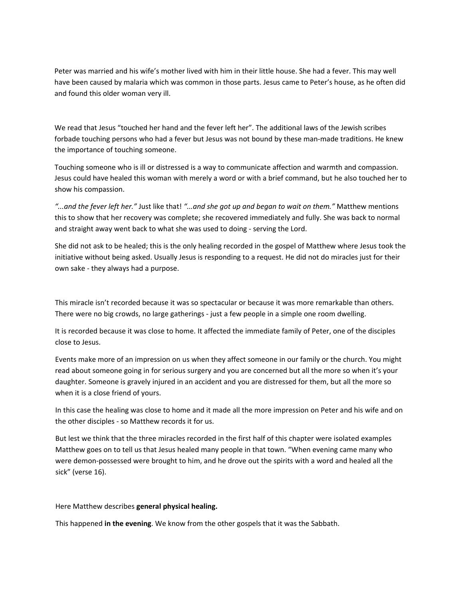Peter was married and his wife's mother lived with him in their little house. She had a fever. This may well have been caused by malaria which was common in those parts. Jesus came to Peter's house, as he often did and found this older woman very ill.

We read that Jesus "touched her hand and the fever left her". The additional laws of the Jewish scribes forbade touching persons who had a fever but Jesus was not bound by these man-made traditions. He knew the importance of touching someone.

Touching someone who is ill or distressed is a way to communicate affection and warmth and compassion. Jesus could have healed this woman with merely a word or with a brief command, but he also touched her to show his compassion.

*"...and the fever left her."* Just like that! *"...and she got up and began to wait on them."* Matthew mentions this to show that her recovery was complete; she recovered immediately and fully. She was back to normal and straight away went back to what she was used to doing - serving the Lord.

She did not ask to be healed; this is the only healing recorded in the gospel of Matthew where Jesus took the initiative without being asked. Usually Jesus is responding to a request. He did not do miracles just for their own sake ‐ they always had a purpose.

This miracle isn't recorded because it was so spectacular or because it was more remarkable than others. There were no big crowds, no large gatherings ‐ just a few people in a simple one room dwelling.

It is recorded because it was close to home. It affected the immediate family of Peter, one of the disciples close to Jesus.

Events make more of an impression on us when they affect someone in our family or the church. You might read about someone going in for serious surgery and you are concerned but all the more so when it's your daughter. Someone is gravely injured in an accident and you are distressed for them, but all the more so when it is a close friend of yours.

In this case the healing was close to home and it made all the more impression on Peter and his wife and on the other disciples ‐ so Matthew records it for us.

But lest we think that the three miracles recorded in the first half of this chapter were isolated examples Matthew goes on to tell us that Jesus healed many people in that town. "When evening came many who were demon-possessed were brought to him, and he drove out the spirits with a word and healed all the sick" (verse 16).

Here Matthew describes **general physical healing.**

This happened **in the evening**. We know from the other gospels that it was the Sabbath.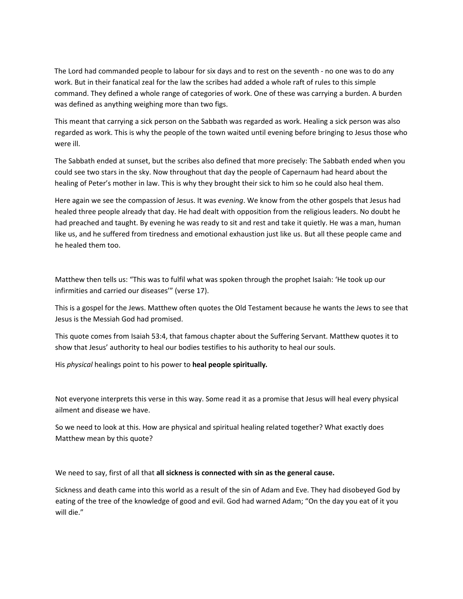The Lord had commanded people to labour for six days and to rest on the seventh ‐ no one was to do any work. But in their fanatical zeal for the law the scribes had added a whole raft of rules to this simple command. They defined a whole range of categories of work. One of these was carrying a burden. A burden was defined as anything weighing more than two figs.

This meant that carrying a sick person on the Sabbath was regarded as work. Healing a sick person was also regarded as work. This is why the people of the town waited until evening before bringing to Jesus those who were ill.

The Sabbath ended at sunset, but the scribes also defined that more precisely: The Sabbath ended when you could see two stars in the sky. Now throughout that day the people of Capernaum had heard about the healing of Peter's mother in law. This is why they brought their sick to him so he could also heal them.

Here again we see the compassion of Jesus. It was *evening*. We know from the other gospels that Jesus had healed three people already that day. He had dealt with opposition from the religious leaders. No doubt he had preached and taught. By evening he was ready to sit and rest and take it quietly. He was a man, human like us, and he suffered from tiredness and emotional exhaustion just like us. But all these people came and he healed them too.

Matthew then tells us: "This was to fulfil what was spoken through the prophet Isaiah: 'He took up our infirmities and carried our diseases'" (verse 17).

This is a gospel for the Jews. Matthew often quotes the Old Testament because he wants the Jews to see that Jesus is the Messiah God had promised.

This quote comes from Isaiah 53:4, that famous chapter about the Suffering Servant. Matthew quotes it to show that Jesus' authority to heal our bodies testifies to his authority to heal our souls.

His *physical* healings point to his power to **heal people spiritually***.*

Not everyone interprets this verse in this way. Some read it as a promise that Jesus will heal every physical ailment and disease we have.

So we need to look at this. How are physical and spiritual healing related together? What exactly does Matthew mean by this quote?

We need to say, first of all that **all sickness is connected with sin as the general cause.**

Sickness and death came into this world as a result of the sin of Adam and Eve. They had disobeyed God by eating of the tree of the knowledge of good and evil. God had warned Adam; "On the day you eat of it you will die."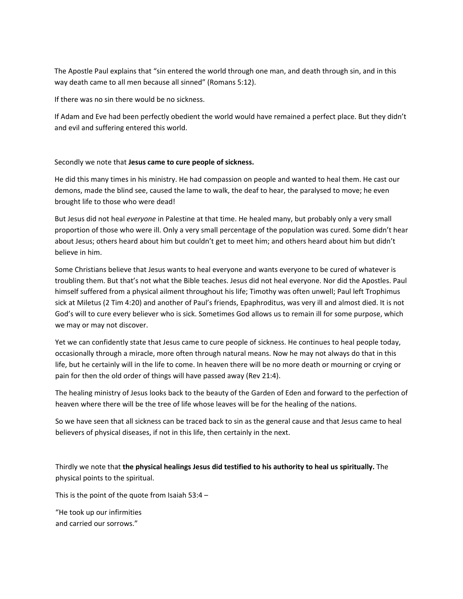The Apostle Paul explains that "sin entered the world through one man, and death through sin, and in this way death came to all men because all sinned" (Romans 5:12).

If there was no sin there would be no sickness.

If Adam and Eve had been perfectly obedient the world would have remained a perfect place. But they didn't and evil and suffering entered this world.

## Secondly we note that **Jesus came to cure people of sickness.**

He did this many times in his ministry. He had compassion on people and wanted to heal them. He cast our demons, made the blind see, caused the lame to walk, the deaf to hear, the paralysed to move; he even brought life to those who were dead!

But Jesus did not heal *everyone* in Palestine at that time. He healed many, but probably only a very small proportion of those who were ill. Only a very small percentage of the population was cured. Some didn't hear about Jesus; others heard about him but couldn't get to meet him; and others heard about him but didn't believe in him.

Some Christians believe that Jesus wants to heal everyone and wants everyone to be cured of whatever is troubling them. But that's not what the Bible teaches. Jesus did not heal everyone. Nor did the Apostles. Paul himself suffered from a physical ailment throughout his life; Timothy was often unwell; Paul left Trophimus sick at Miletus (2 Tim 4:20) and another of Paul's friends, Epaphroditus, was very ill and almost died. It is not God's will to cure every believer who is sick. Sometimes God allows us to remain ill for some purpose, which we may or may not discover.

Yet we can confidently state that Jesus came to cure people of sickness. He continues to heal people today, occasionally through a miracle, more often through natural means. Now he may not always do that in this life, but he certainly will in the life to come. In heaven there will be no more death or mourning or crying or pain for then the old order of things will have passed away (Rev 21:4).

The healing ministry of Jesus looks back to the beauty of the Garden of Eden and forward to the perfection of heaven where there will be the tree of life whose leaves will be for the healing of the nations.

So we have seen that all sickness can be traced back to sin as the general cause and that Jesus came to heal believers of physical diseases, if not in this life, then certainly in the next.

Thirdly we note that **the physical healings Jesus did testified to his authority to heal us spiritually.** The physical points to the spiritual.

This is the point of the quote from Isaiah  $53:4 -$ 

"He took up our infirmities and carried our sorrows."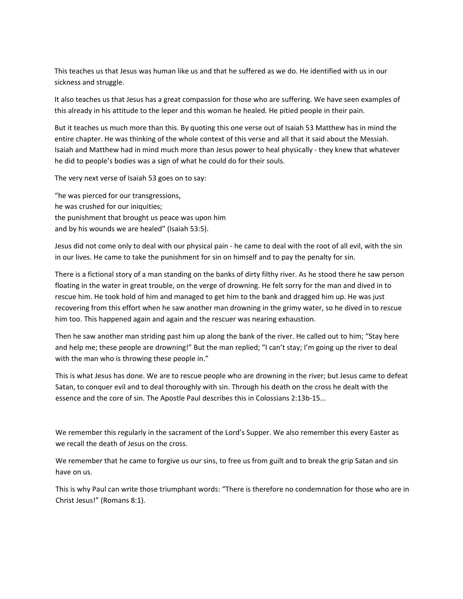This teaches us that Jesus was human like us and that he suffered as we do. He identified with us in our sickness and struggle.

It also teaches us that Jesus has a great compassion for those who are suffering. We have seen examples of this already in his attitude to the leper and this woman he healed. He pitied people in their pain.

But it teaches us much more than this. By quoting this one verse out of Isaiah 53 Matthew has in mind the entire chapter. He was thinking of the whole context of this verse and all that it said about the Messiah. Isaiah and Matthew had in mind much more than Jesus power to heal physically ‐ they knew that whatever he did to people's bodies was a sign of what he could do for their souls.

The very next verse of Isaiah 53 goes on to say:

"he was pierced for our transgressions, he was crushed for our iniquities; the punishment that brought us peace was upon him and by his wounds we are healed" (Isaiah 53:5).

Jesus did not come only to deal with our physical pain ‐ he came to deal with the root of all evil, with the sin in our lives. He came to take the punishment for sin on himself and to pay the penalty for sin.

There is a fictional story of a man standing on the banks of dirty filthy river. As he stood there he saw person floating in the water in great trouble, on the verge of drowning. He felt sorry for the man and dived in to rescue him. He took hold of him and managed to get him to the bank and dragged him up. He was just recovering from this effort when he saw another man drowning in the grimy water, so he dived in to rescue him too. This happened again and again and the rescuer was nearing exhaustion.

Then he saw another man striding past him up along the bank of the river. He called out to him; "Stay here and help me; these people are drowning!" But the man replied; "I can't stay; I'm going up the river to deal with the man who is throwing these people in."

This is what Jesus has done. We are to rescue people who are drowning in the river; but Jesus came to defeat Satan, to conquer evil and to deal thoroughly with sin. Through his death on the cross he dealt with the essence and the core of sin. The Apostle Paul describes this in Colossians 2:13b-15...

We remember this regularly in the sacrament of the Lord's Supper. We also remember this every Easter as we recall the death of Jesus on the cross.

We remember that he came to forgive us our sins, to free us from guilt and to break the grip Satan and sin have on us.

This is why Paul can write those triumphant words: "There is therefore no condemnation for those who are in Christ Jesus!" (Romans 8:1).